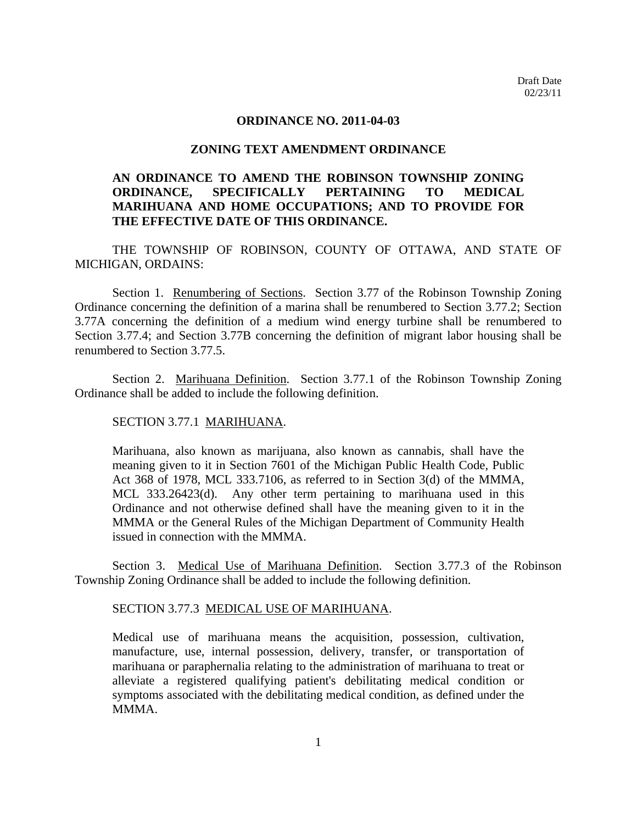#### **ORDINANCE NO. 2011-04-03**

### **ZONING TEXT AMENDMENT ORDINANCE**

# **AN ORDINANCE TO AMEND THE ROBINSON TOWNSHIP ZONING ORDINANCE, SPECIFICALLY PERTAINING TO MEDICAL MARIHUANA AND HOME OCCUPATIONS; AND TO PROVIDE FOR THE EFFECTIVE DATE OF THIS ORDINANCE.**

THE TOWNSHIP OF ROBINSON, COUNTY OF OTTAWA, AND STATE OF MICHIGAN, ORDAINS:

Section 1. Renumbering of Sections. Section 3.77 of the Robinson Township Zoning Ordinance concerning the definition of a marina shall be renumbered to Section 3.77.2; Section 3.77A concerning the definition of a medium wind energy turbine shall be renumbered to Section 3.77.4; and Section 3.77B concerning the definition of migrant labor housing shall be renumbered to Section 3.77.5.

 Section 2. Marihuana Definition. Section 3.77.1 of the Robinson Township Zoning Ordinance shall be added to include the following definition.

#### SECTION 3.77.1 MARIHUANA.

 Marihuana, also known as marijuana, also known as cannabis, shall have the meaning given to it in Section 7601 of the Michigan Public Health Code, Public Act 368 of 1978, MCL 333.7106, as referred to in Section 3(d) of the MMMA, MCL 333.26423(d). Any other term pertaining to marihuana used in this Ordinance and not otherwise defined shall have the meaning given to it in the MMMA or the General Rules of the Michigan Department of Community Health issued in connection with the MMMA.

 Section 3. Medical Use of Marihuana Definition. Section 3.77.3 of the Robinson Township Zoning Ordinance shall be added to include the following definition.

### SECTION 3.77.3 MEDICAL USE OF MARIHUANA.

 Medical use of marihuana means the acquisition, possession, cultivation, manufacture, use, internal possession, delivery, transfer, or transportation of marihuana or paraphernalia relating to the administration of marihuana to treat or alleviate a registered qualifying patient's debilitating medical condition or symptoms associated with the debilitating medical condition, as defined under the MMMA.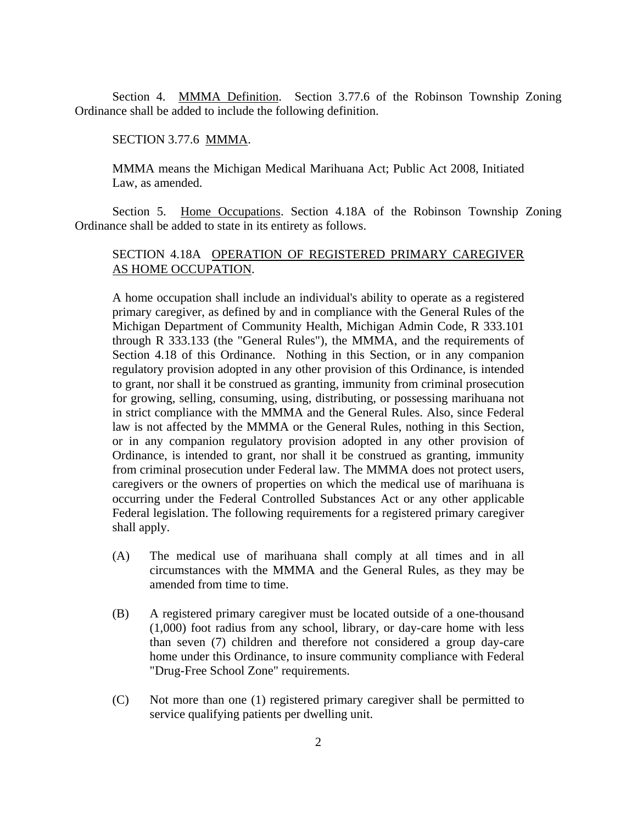Section 4. MMMA Definition. Section 3.77.6 of the Robinson Township Zoning Ordinance shall be added to include the following definition.

SECTION 3.77.6 MMMA.

 MMMA means the Michigan Medical Marihuana Act; Public Act 2008, Initiated Law, as amended.

 Section 5. Home Occupations. Section 4.18A of the Robinson Township Zoning Ordinance shall be added to state in its entirety as follows.

## SECTION 4.18A OPERATION OF REGISTERED PRIMARY CAREGIVER AS HOME OCCUPATION.

 A home occupation shall include an individual's ability to operate as a registered primary caregiver, as defined by and in compliance with the General Rules of the Michigan Department of Community Health, Michigan Admin Code, R 333.101 through R 333.133 (the "General Rules"), the MMMA, and the requirements of Section 4.18 of this Ordinance. Nothing in this Section, or in any companion regulatory provision adopted in any other provision of this Ordinance, is intended to grant, nor shall it be construed as granting, immunity from criminal prosecution for growing, selling, consuming, using, distributing, or possessing marihuana not in strict compliance with the MMMA and the General Rules. Also, since Federal law is not affected by the MMMA or the General Rules, nothing in this Section, or in any companion regulatory provision adopted in any other provision of Ordinance, is intended to grant, nor shall it be construed as granting, immunity from criminal prosecution under Federal law. The MMMA does not protect users, caregivers or the owners of properties on which the medical use of marihuana is occurring under the Federal Controlled Substances Act or any other applicable Federal legislation. The following requirements for a registered primary caregiver shall apply.

- (A) The medical use of marihuana shall comply at all times and in all circumstances with the MMMA and the General Rules, as they may be amended from time to time.
- (B) A registered primary caregiver must be located outside of a one-thousand (1,000) foot radius from any school, library, or day-care home with less than seven (7) children and therefore not considered a group day-care home under this Ordinance, to insure community compliance with Federal "Drug-Free School Zone" requirements.
- (C) Not more than one (1) registered primary caregiver shall be permitted to service qualifying patients per dwelling unit.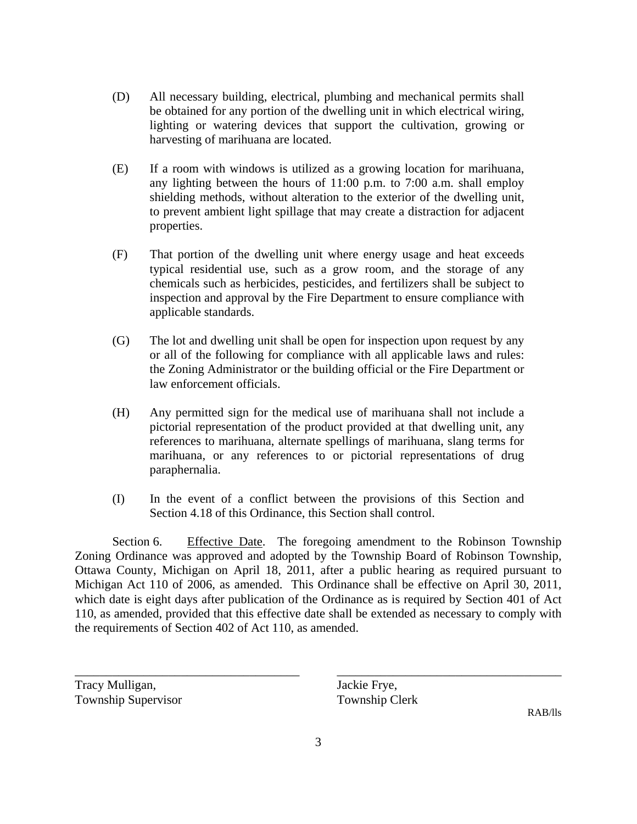- (D) All necessary building, electrical, plumbing and mechanical permits shall be obtained for any portion of the dwelling unit in which electrical wiring, lighting or watering devices that support the cultivation, growing or harvesting of marihuana are located.
- (E) If a room with windows is utilized as a growing location for marihuana, any lighting between the hours of 11:00 p.m. to 7:00 a.m. shall employ shielding methods, without alteration to the exterior of the dwelling unit, to prevent ambient light spillage that may create a distraction for adjacent properties.
- (F) That portion of the dwelling unit where energy usage and heat exceeds typical residential use, such as a grow room, and the storage of any chemicals such as herbicides, pesticides, and fertilizers shall be subject to inspection and approval by the Fire Department to ensure compliance with applicable standards.
- (G) The lot and dwelling unit shall be open for inspection upon request by any or all of the following for compliance with all applicable laws and rules: the Zoning Administrator or the building official or the Fire Department or law enforcement officials.
- (H) Any permitted sign for the medical use of marihuana shall not include a pictorial representation of the product provided at that dwelling unit, any references to marihuana, alternate spellings of marihuana, slang terms for marihuana, or any references to or pictorial representations of drug paraphernalia.
- (I) In the event of a conflict between the provisions of this Section and Section 4.18 of this Ordinance, this Section shall control.

Section 6. Effective Date. The foregoing amendment to the Robinson Township Zoning Ordinance was approved and adopted by the Township Board of Robinson Township, Ottawa County, Michigan on April 18, 2011, after a public hearing as required pursuant to Michigan Act 110 of 2006, as amended. This Ordinance shall be effective on April 30, 2011, which date is eight days after publication of the Ordinance as is required by Section 401 of Act 110, as amended, provided that this effective date shall be extended as necessary to comply with the requirements of Section 402 of Act 110, as amended.

Tracy Mulligan, Jackie Frye, Township Supervisor Township Clerk

RAB/lls

\_\_\_\_\_\_\_\_\_\_\_\_\_\_\_\_\_\_\_\_\_\_\_\_\_\_\_\_\_\_\_\_\_\_\_\_ \_\_\_\_\_\_\_\_\_\_\_\_\_\_\_\_\_\_\_\_\_\_\_\_\_\_\_\_\_\_\_\_\_\_\_\_